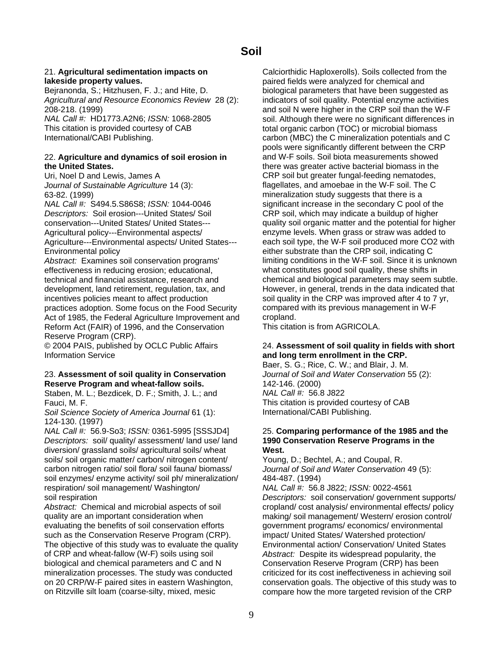## 21. **Agricultural sedimentation impacts on** Calciorthidic Haploxerolls). Soils collected from the

*Agricultural and Resource Economics Review* 28 (2): indicators of soil quality. Potential enzyme activities 208-218. (1999) and soil N were higher in the CRP soil than the W-F

### 22. **Agriculture and dynamics of soil erosion in** and W-F soils. Soil biota measurements showed **the United States.** there was greater active bacterial biomass in the

*NAL Call #:* S494.5.S86S8; *ISSN:* 1044-0046 significant increase in the secondary C pool of the *Descriptors:* Soil erosion---United States/ Soil CRP soil, which may indicate a buildup of higher Agricultural policy---Environmental aspects/ enzyme levels. When grass or straw was added to Environmental policy either substrate than the CRP soil, indicating C

effectiveness in reducing erosion; educational, what constitutes good soil quality, these shifts in technical and financial assistance, research and chemical and biological parameters may seem subtle. development, land retirement, regulation, tax, and However, in general, trends in the data indicated that incentives policies meant to affect production soil quality in the CRP was improved after 4 to 7 yr, practices adoption. Some focus on the Food Security compared with its previous management in W-F Act of 1985, the Federal Agriculture Improvement and cropland.<br>Reform Act (FAIR) of 1996, and the Conservation This citation is from AGRICOLA. Reform Act (FAIR) of 1996, and the Conservation Reserve Program (CRP).

Information Service **and long term enrollment in the CRP.** 

## 23. **Assessment of soil quality in Conservation** *Journal of Soil and Water Conservation* 55 (2): **Reserve Program and wheat-fallow soils.** 142-146. (2000)<br>Staben, M. L.; Bezdicek, D. F.; Smith, J. L.; and MAL Call #: 56.8 J822

Staben, M. L.; Bezdicek, D. F.; Smith, J. L.; and Fauci, M. F. This citation is provided courtesy of CAB

*Soil Science Society of America Journal* 61 (1): International/CABI Publishing. 124-130. (1997)

*NAL Call #:* 56.9-So3; *ISSN:* 0361-5995 [SSSJD4] 25. **Comparing performance of the 1985 and the**  *Descriptors:* soil/ quality/ assessment/ land use/ land **1990 Conservation Reserve Programs in the**  diversion/ grassland soils/ agricultural soils/ wheat **West.**  soils/ soil organic matter/ carbon/ nitrogen content/ Young, D.; Bechtel, A.; and Coupal, R. carbon nitrogen ratio/ soil flora/ soil fauna/ biomass/ *Journal of Soil and Water Conservation* 49 (5): soil enzymes/ enzyme activity/ soil ph/ mineralization/ 484-487. (1994) respiration/ soil management/ Washington/ *NAL Call #:* 56.8 J822; *ISSN:* 0022-4561 soil respiration *Descriptors:* soil conservation/ government supports/

Abstract: Chemical and microbial aspects of soil cropland/ cost analysis/ environmental effects/ policy quality are an important consideration when making/ soil management/ Western/ erosion control/ evaluating the benefits of soil conservation efforts government programs/ economics/ environmental such as the Conservation Reserve Program (CRP). impact/ United States/ Watershed protection/ The objective of this study was to evaluate the quality Environmental action/ Conservation/ United States of CRP and wheat-fallow (W-F) soils using soil *Abstract:* Despite its widespread popularity, the biological and chemical parameters and C and N Conservation Reserve Program (CRP) has been mineralization processes. The study was conducted criticized for its cost ineffectiveness in achieving soil on 20 CRP/W-F paired sites in eastern Washington, conservation goals. The objective of this study was to on Ritzville silt loam (coarse-silty, mixed, mesic compare how the more targeted revision of the CRP

**lakeside property values.**<br> **Paired fields were analyzed for chemical and Beiranonda, S.; Hitzhusen, F. J.; and Hite, D.** biological parameters that have been sugges biological parameters that have been suggested as *NAL Call #:* **HD1773.A2N6:** *ISSN:* **1068-2805** soil. Although there were no significant differences in This citation is provided courtesy of CAB total organic carbon (TOC) or microbial biomass International/CABI Publishing. The Carbon (MBC) the C mineralization potentials and C pools were significantly different between the CRP Uri, Noel D and Lewis, James A CRP soil but greater fungal-feeding nematodes, *Journal of Sustainable Agriculture* 14 (3): flagellates, and amoebae in the W-F soil. The C 63-82. (1999) mineralization study suggests that there is a conservation---United States/ United States--- quality soil organic matter and the potential for higher Agriculture---Environmental aspects/ United States--- each soil type, the W-F soil produced more CO2 with *Abstract:* Examines soil conservation programs' limiting conditions in the W-F soil. Since it is unknown

## © 2004 PAIS, published by OCLC Public Affairs 24. **Assessment of soil quality in fields with short**

Baer, S. G.; Rice, C. W.; and Blair, J. M.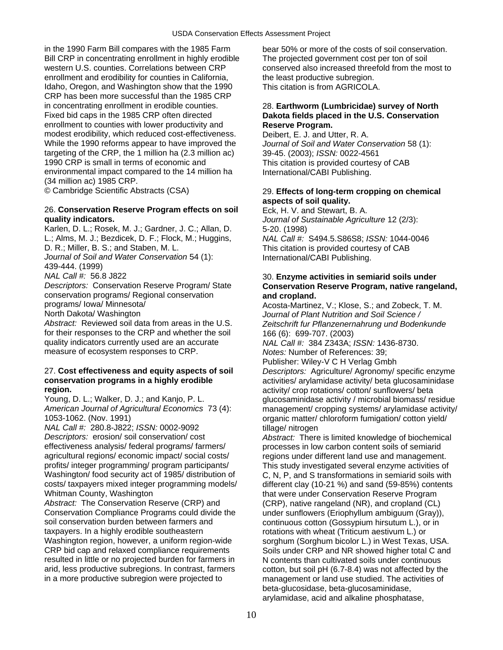in the 1990 Farm Bill compares with the 1985 Farm bear 50% or more of the costs of soil conservation. Bill CRP in concentrating enrollment in highly erodible The projected government cost per ton of soil western U.S. counties. Correlations between CRP conserved also increased threefold from the most to enrollment and erodibility for counties in California, the least productive subregion. Idaho, Oregon, and Washington show that the 1990 This citation is from AGRICOLA. CRP has been more successful than the 1985 CRP in concentrating enrollment in erodible counties. 28. **Earthworm (Lumbricidae) survey of North**  Fixed bid caps in the 1985 CRP often directed **Dakota fields placed in the U.S. Conservation**  enrollment to counties with lower productivity and **Reserve Program.** modest erodibility, which reduced cost-effectiveness. Deibert, E. J. and Utter, R. A. While the 1990 reforms appear to have improved the *Journal of Soil and Water Conservation* 58 (1): targeting of the CRP, the 1 million ha (2.3 million ac) 39-45. (2003); *ISSN:* 0022-4561 environmental impact compared to the 14 million ha International/CABI Publishing. (34 million ac) 1985 CRP.

### 26. **Conservation Reserve Program effects on soil** Eck, H. V. and Stewart, B. A. **quality indicators.** *Journal of Sustainable Agriculture* 12 (2/3):

Karlen, D. L.; Rosek, M. J.; Gardner, J. C.; Allan, D. 5-20. (1998) L.; Alms, M. J.; Bezdicek, D. F.; Flock, M.; Huggins, *NAL Call #:* S494.5.S86S8; *ISSN:* 1044-0046 *Journal of Soil and Water Conservation* 54 (1): International/CABI Publishing. 439-444. (1999) *NAL Call #:* 56.8 J822 30. **Enzyme activities in semiarid soils under**  conservation programs/ Regional conservation **and cropland.** 

for their responses to the CRP and whether the soil  $166 (6)$ : 699-707. (2003)<br>quality indicators currently used are an accurate  $NAL Call #: 384 Z343A$ : measure of ecosystem responses to CRP. *Notes:* Number of References: 39;

1053-1062. (Nov. 1991) organic matter/ chloroform fumigation/ cotton yield/

*NAL Call #:* 280.8-J822; *ISSN:* 0002-9092 tillage/ nitrogen *Descriptors:* erosion/ soil conservation/ cost *Abstract:* There is limited knowledge of biochemical effectiveness analysis/ federal programs/ farmers/ processes in low carbon content soils of semiarid<br>agricultural regions/ economic impact/ social costs/ equions under different land use and management profits/ integer programming/ program participants/ This study investigated several enzyme activities of Washington/ food security act of 1985/ distribution of C, N, P, and S transformations in semiarid soils with costs/ taxpayers mixed integer programming models/ different clay (10-21 %) and sand (59-85%) contents costs/ taxpayers mixed integer programming models/ different clay (10-21 %) and sand (59-85%) contents<br>Whitman County, Washington<br>Whitman County, Washington

*Abstract:* The Conservation Reserve (CRP) and (CRP), native rangeland (NR), and cropland (CL) Conservation Compliance Programs could divide the under sunflowers (Eriophyllum ambiguum (Gray)),<br>soil conservation burden between farmers and continuous cotton (Gossypium hirsutum L.) or in taxpayers. In a highly erodible southeastern extingulations with wheat (Triticum aestivum L.) or<br>Washington region, however, a uniform region-wide sorghum (Sorghum bicolor L.) in West Texas. Washington region, however, a uniform region-wide sorghum (Sorghum bicolor L.) in West Texas, USA.<br>CRP bid cap and relaxed compliance requirements Soils under CRP and NR showed higher total C and resulted in little or no projected burden for farmers in N contents than cultivated soils under continuous<br>arid, less productive subregions. In contrast, farmers cotton, but soil pH (6,7-8.4) was not affected by the in a more productive subregion were projected to management or land use studied. The activities of

This citation is provided courtesy of CAB

### © Cambridge Scientific Abstracts (CSA) 29. **Effects of long-term cropping on chemical aspects of soil quality.**

This citation is provided courtesy of CAB

# **Conservation Reserve Program, native rangeland,**

programs/ Iowa/ Minnesota/ access of the Acosta-Martinez, V.; Klose, S.; and Zobeck, T. M.<br>19 Morth Dakota/ Washington access of the Sournal of Plant Nutrition and Soil Science North Dakota/ Washington *Journal of Plant Nutrition and Soil Science /*  Zeitschrift fur Pflanzenernahrung und Bodenkunde

quality indicators currently used are an accurate *NAL Call #:* 384 Z343A; *ISSN:* 1436-8730.

Publisher: Wiley-V C H Verlag Gmbh

27. **Cost effectiveness and equity aspects of soil** *Descriptors:* Agriculture/ Agronomy/ specific enzyme activities/ arylamidase activity/ beta glucosaminidase **region.**<br>Young. D. L.: Walker. D. J.: and Kanio. P. L. **and Many Allian Contemporary of the Control** of Cotton/ sunflowers/ beta Young, D. L.; Walker, D. J.; and Kanjo, P. L. glucosaminidase activity / microbial biomass/ residue<br>American Journal of Agricultural Economics 73 (4): management/ cropping systems/ arylamidase activity management/ cropping systems/ arylamidase activity/

regions under different land use and management. that were under Conservation Reserve Program continuous cotton (Gossypium hirsutum L.), or in Soils under CRP and NR showed higher total C and cotton, but soil pH (6.7-8.4) was not affected by the beta-glucosidase, beta-glucosaminidase, arylamidase, acid and alkaline phosphatase,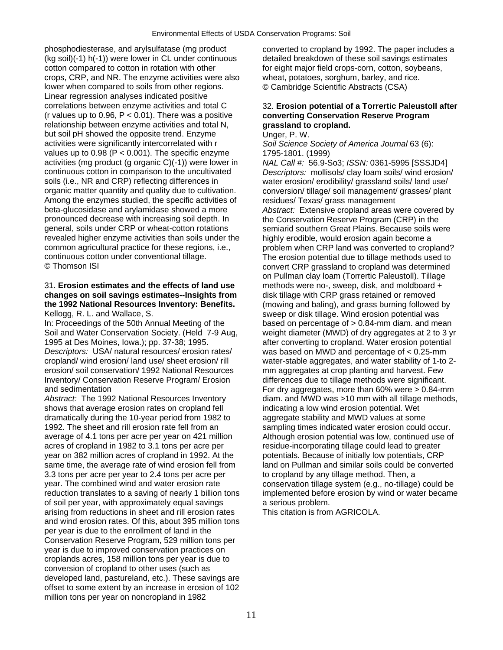phosphodiesterase, and arylsulfatase (mg product converted to cropland by 1992. The paper includes a (kg soil)(-1) h(-1)) were lower in CL under continuous detailed breakdown of these soil savings estimates cotton compared to cotton in rotation with other for eight major field crops-corn, cotton, soybeans, crops, CRP, and NR. The enzyme activities were also wheat, potatoes, sorghum, barley, and rice. lower when compared to soils from other regions. © Cambridge Scientific Abstracts (CSA) Linear regression analyses indicated positive correlations between enzyme activities and total C 32. **Erosion potential of a Torrertic Paleustoll after**  (r values up to 0.96, P < 0.01). There was a positive **converting Conservation Reserve Program**  relationship between enzyme activities and total N, **grassland to cropland.**  but soil pH showed the opposite trend. Enzyme Unger, P. W. activities were significantly intercorrelated with r *Soil Science Society of America Journal* 63 (6): values up to  $0.98$  (P <  $0.001$ ). The specific enzyme  $1795-1801$ . (1999)<br>activities (mg product (g organic C)(-1)) were lower in  $NAL$  Call #: 56.9-9 activities (mg product (g organic C)(-1)) were lower in *NAL Call #:* 56.9-So3; *ISSN:* 0361-5995 [SSSJD4] soils (i.e., NR and CRP) reflecting differences in water erosion/ erodibility/ grassland soils/ land use/ organic matter quantity and quality due to cultivation. conversion/ tillage/ soil management/ grasses/ plant Among the enzymes studied, the specific activities of residues/ Texas/ grass management<br>beta-glucosidase and arylamidase showed a more *Abstract:* Extensive cropland areas w pronounced decrease with increasing soil depth. In the Conservation Reserve Program (CRP) in the general, soils under CRP or wheat-cotton rotations semiarid southern Great Plains. Because soils were revealed higher enzyme activities than soils under the highly erodible, would erosion again become a common agricultural practice for these regions, i.e., example problem when CRP land was converted to cropland?<br>
The erosion potential due to tillage methods used to<br>
The erosion potential due to tillage methods used to continuous cotton under conventional tillage. The erosion potential due to tillage methods used to

## 31. **Erosion estimates and the effects of land use** methods were no-, sweep, disk, and moldboard + **changes on soil savings estimates--Insights from** disk tillage with CRP grass retained or removed **the 1992 National Resources Inventory: Benefits.** (mowing and baling), and grass burning followed by

In: Proceedings of the 50th Annual Meeting of the based on percentage of  $> 0.84$ -mm diam. and mean 1995 at Des Moines, Iowa.); pp. 37-38; 1995.<br>
Descriptors: USA/ natural resources/ erosion rates/ was based on MWD and percentage of < 0.25-mm *Descriptors:* USA/ natural resources/ erosion rates/ was based on MWD and percentage of < 0.25-mm cropland/ wind erosion/ land use/ sheet erosion/ rill water-stable aggregates, and water stability of 1-to erosion/ soil conservation/ 1992 National Resources mm aggregates at crop planting and harvest. Few Inventory/ Conservation Reserve Program/ Erosion differences due to tillage methods were significant.<br>For dry aggregates, more than 60% were > 0.84-min end sedimentation

shows that average erosion rates on cropland fell indicating a low wind erosion potential. Wet dramatically during the 10-year period from 1982 to aggregate stability and MWD values at some 1992. The sheet and rill erosion rate fell from an sampling times indicated water erosion could occur. average of 4.1 tons per acre per year on 421 million Although erosion potential was low, continued use of acres of cropland in 1982 to 3.1 tons per acre per residue-incorporating tillage could lead to greater year on 382 million acres of cropland in 1992. At the potentials. Because of initially low potentials, CRP<br>same time, the average rate of wind erosion fell from land on Pullman and similar soils could be converte 3.3 tons per acre per year to 2.4 tons per acre per to cropland by any tillage method. Then, a year. The combined wind and water erosion rate conservation tillage system (e.g., no-tillage) could be reduction translates to a saving of nearly 1 billion tons implemented before erosion by wind or water became of soil per year, with approximately equal savings a serious problem. arising from reductions in sheet and rill erosion rates This citation is from AGRICOLA. and wind erosion rates. Of this, about 395 million tons per year is due to the enrollment of land in the Conservation Reserve Program, 529 million tons per year is due to improved conservation practices on croplands acres, 158 million tons per year is due to conversion of cropland to other uses (such as developed land, pastureland, etc.). These savings are offset to some extent by an increase in erosion of 102 million tons per year on noncropland in 1982

for eight major field crops-corn, cotton, soybeans,

Descriptors: mollisols/ clay loam soils/ wind erosion/ Abstract: Extensive cropland areas were covered by convert CRP grassland to cropland was determined on Pullman clay loam (Torrertic Paleustoll). Tillage Kellogg, R. L. and Wallace, S. Supervisors of the sweep or disk tillage. Wind erosion potential was Soil and Water Conservation Society. (Held 7-9 Aug, weight diameter (MWD) of dry aggregates at 2 to 3 yr water-stable aggregates, and water stability of 1-to 2-For dry aggregates, more than  $60\%$  were  $> 0.84$ -mm Abstract: The 1992 National Resources Inventory diam. and MWD was >10 mm with all tillage methods, land on Pullman and similar soils could be converted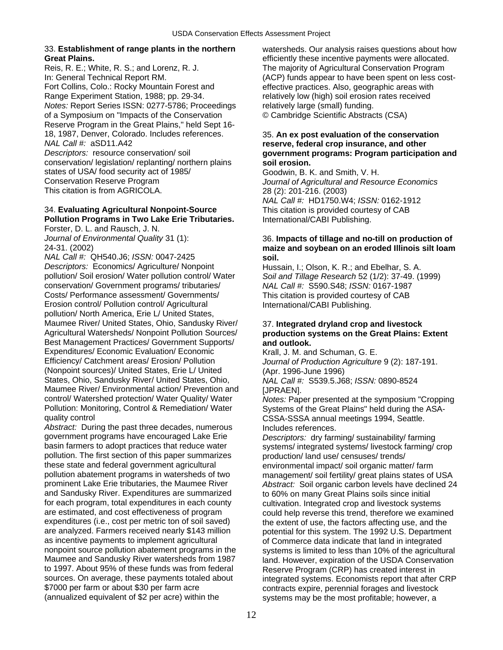## 33. **Establishment of range plants in the northern** watersheds. Our analysis raises questions about how

Fort Collins, Colo.: Rocky Mountain Forest and effective practices. Also, geographic areas with Range Experiment Station, 1988; pp. 29-34. relatively low (high) soil erosion rates received *Notes:* Report Series ISSN: 0277-5786; Proceedings relatively large (small) funding. of a Symposium on "Impacts of the Conservation © Cambridge Scientific Abstracts (CSA) Reserve Program in the Great Plains," held Sept 16- 18, 1987, Denver, Colorado. Includes references. 35. **An ex post evaluation of the conservation**  *NAL Call #:* aSD11.A42 **reserve, federal crop insurance, and other**  conservation/ legislation/ replanting/ northern plains **soil erosion.** 

states of USA/ food security act of 1985/<br>
Conservation Reserve Program<br>
Journal of Agricultural and Resort This citation is from AGRICOLA. 28 (2): 201-216. (2003)

## 34. **Evaluating Agricultural Nonpoint-Source** This citation is provided courtesy of CAB **Pollution Programs in Two Lake Erie Tributaries.** International/CABI Publishing.

Forster, D. L. and Rausch, J. N.

*NAL Call #:* QH540.J6; *ISSN:* 0047-2425 **soil.**  *Descriptors:* Economics/ Agriculture/ Nonpoint Hussain, I.; Olson, K. R.; and Ebelhar, S. A. pollution/ Soil erosion/ Water pollution control/ Water Soil and Tillage Research 52 (1/2): 37-49. (1) conservation/ Government programs/ tributaries/ *NAL Call #:* S590.S48; *ISSN:* 0167-1987 Costs/ Performance assessment/ Governments/ This citation is provided courtesy of CAB Erosion control/ Pollution control/ Agricultural International/CABI Publishing. pollution/ North America, Erie L/ United States, Maumee River/ United States, Ohio, Sandusky River/ 37. **Integrated dryland crop and livestock**  Best Management Practices/ Government Supports/ **and outlook.**  Expenditures/ Economic Evaluation/ Economic Krall, J. M. and Schuman, G. E.<br>Efficiency/ Catchment areas/ Erosion/ Pollution Journal of Production Agriculture (Nonpoint sources)/ United States, Erie L/ United (Apr. 1996-June 1996) States, Ohio, Sandusky River/ United States, Ohio, *NAL Call #:* S539.5.J68; *ISSN:* 0890-8524 Maumee River/ Environmental action/ Prevention and [JPRAEN].<br>control/ Watershed protection/ Water Quality/ Water Motes: Pap Pollution: Monitoring, Control & Remediation/ Water Systems of the Great Plains" held during the ASAquality control **CSSA-SSSA** annual meetings 1994, Seattle.

Abstract: During the past three decades, numerous lincludes references.<br>government programs have encouraged Lake Erie *Descriptors: drv* farr government programs have encouraged Lake Erie *Descriptors:* dry farming/ sustainability/ farming<br>basin farmers to adopt practices that reduce water systems/ integrated systems/ livestock farming/ pollution. The first section of this paper summarizes production/ land use/ censuses/ trends/ these state and federal government agricultural environmental impact/ soil organic matter/ farm<br>
pollution abatement programs in watersheds of two management/ soil fertility/ great plains states of pollution abatement programs in watersheds of two management/ soil fertility/ great plains states of USA<br>12 prominent Lake Erie tributaries, the Maumee River and Abstract: Soil organic carbon levels have declined and Sandusky River. Expenditures are summarized to 60% on many Great Plains soils since initial for each program, total expenditures in each county exactly cultivation. Integrated crop and livestock systems<br>are estimated, and cost effectiveness of program could help reverse this trend, therefore we examine expenditures (i.e., cost per metric ton of soil saved) the extent of use, the factors affecting use, and the are analyzed. Farmers received nearly \$143 million potential for this system. The 1992 U.S. Department as incentive payments to implement agricultural of Commerce data indicate that land in integrated as incentive payments to implement agricultural of Commerce data indicate that land in integrated<br>
nonpoint source pollution abatement programs in the systems is limited to less than 10% of the agricultu nonpoint source pollution abatement programs in the systems is limited to less than 10% of the agricultural<br>Maumee and Sandusky River watersheds from 1987 land. However, expiration of the USDA Conservation Maumee and Sandusky River watersheds from 1987 land. However, expiration of the USDA Conservation<br>to 1997. About 95% of these funds was from federal Reserve Program (CRP) has created interest in to 1997. About 95% of these funds was from federal Reserve Program (CRP) has created interest in<br>sources. On average, these payments totaled about integrated systems. Economists report that after sources. On average, these payments totaled about integrated systems. Economists report that after CRP<br>\$7000 per farm or about \$30 per farm acre contracts expire, perennial forages and livestock \$7000 per farm or about \$30 per farm acre contracts expire, perennial forages and livestock<br>(annualized equivalent of \$2 per acre) within the systems may be the most profitable: however, a

**Great Plains. Great Plains. efficiently these incentive payments were allocated. Reis, R. E.; White, R. S.; and Lorenz, R. J. Clube 20 The majority of Agricultural Conservation Program** The majority of Agricultural Conservation Program In: General Technical Report RM. (ACP) funds appear to have been spent on less cost-

# *Descriptors:* resource conservation/ soil **government programs: Program participation and**

**Journal of Agricultural and Resource Economics** *NAL Call #:* HD1750.W4; *ISSN:* 0162-1912

## *Journal of Environmental Quality* 31 (1): 36. **Impacts of tillage and no-till on production of**  24-31. (2002) **maize and soybean on an eroded Illinois silt loam**

Soil and Tillage Research 52 (1/2): 37-49. (1999)

# production systems on the Great Plains: Extent

Journal of Production Agriculture 9 (2): 187-191.

Notes: Paper presented at the symposium "Cropping"

systems/ integrated systems/ livestock farming/ crop Abstract: Soil organic carbon levels have declined 24 could help reverse this trend, therefore we examined systems may be the most profitable; however, a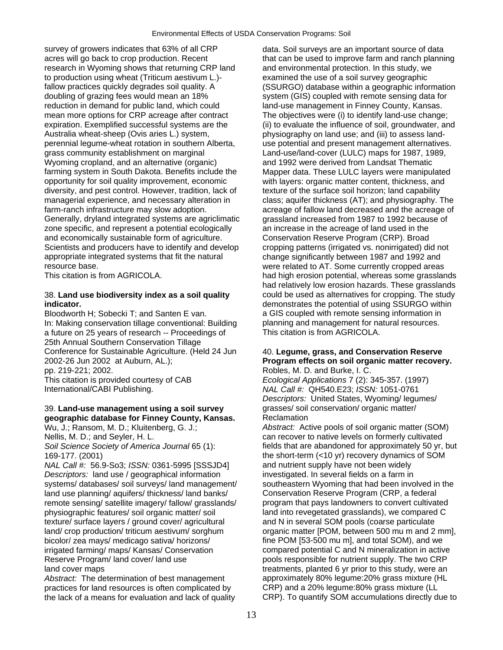survey of growers indicates that 63% of all CRP data. Soil surveys are an important source of data acres will go back to crop production. Recent that can be used to improve farm and ranch planning research in Wyoming shows that returning CRP land and environmental protection. In this study, we to production using wheat (Triticum aestivum L.)- examined the use of a soil survey geographic fallow practices quickly degrades soil quality. A (SSURGO) database within a geographic information doubling of grazing fees would mean an 18% system (GIS) coupled with remote sensing data for reduction in demand for public land, which could land-use management in Finney County, Kansas. mean more options for CRP acreage after contract The objectives were (i) to identify land-use change; expiration. Exemplified successful systems are the (ii) to evaluate the influence of soil, groundwater, and Australia wheat-sheep (Ovis aries L.) system, physiography on land use; and (iii) to assess landperennial legume-wheat rotation in southern Alberta, use potential and present management alternatives. grass community establishment on marginal Land-use/land-cover (LULC) maps for 1987, 1989, Wyoming cropland, and an alternative (organic) and 1992 were derived from Landsat Thematic farming system in South Dakota. Benefits include the Mapper data. These LULC layers were manipulated opportunity for soil quality improvement, economic with layers: organic matter content, thickness, and diversity, and pest control. However, tradition, lack of the strature of the surface soil horizon; land capability managerial experience, and necessary alteration in class; aquifer thickness (AT); and physiography. The farm-ranch infrastructure may slow adoption. The acreage of fallow land decreased and the acreage of Generally, dryland integrated systems are agriclimatic grassland increased from 1987 to 1992 because of zone specific, and represent a potential ecologically an increase in the acreage of land used in the and economically sustainable form of agriculture. Conservation Reserve Program (CRP). Broad Scientists and producers have to identify and develop cropping patterns (irrigated vs. nonirrigated) did not appropriate integrated systems that fit the natural change significantly between 1987 and 1992 and resource base. were related to AT. Some currently cropped areas

Bloodworth H; Sobecki T; and Santen E van. a GIS coupled with remote sensing information in In: Making conservation tillage conventional: Building planning and management for natural resources. a future on 25 years of research -- Proceedings of This citation is from AGRICOLA. 25th Annual Southern Conservation Tillage Conference for Sustainable Agriculture. (Held 24 Jun 40. **Legume, grass, and Conservation Reserve**  2002-26 Jun 2002 at Auburn, AL.); **Program effects on soil organic matter recovery.**  pp. 219-221; 2002. Robles, M. D. and Burke, I. C. This citation is provided courtesy of CAB *Ecological Applications* 7 (2): 345-357. (1997) International/CABI Publishing. *NAL Call #:* QH540.E23; *ISSN:* 1051-0761

## 39. **Land-use management using a soil survey** grasses/ soil conservation/ organic matter/ **geographic database for Finney County, Kansas.** Reclamation

*NAL Call #:* 56.9-So3; *ISSN:* 0361-5995 [SSSJD4] and nutrient supply have not been widely *Descriptors:* land use / geographical information investigated. In several fields on a farm in land use planning/ aquifers/ thickness/ land banks/ Conservation Reserve Program (CRP, a federal remote sensing/ satellite imagery/ fallow/ grasslands/ program that pays landowners to convert cultivated physiographic features/ soil organic matter/ soil land into revegetated grasslands), we compared C texture/ surface layers / ground cover/ agricultural and N in several SOM pools (coarse particulate bicolor/ zea mays/ medicago sativa/ horizons/ fine POM [53-500 mu m], and total SOM), and we irrigated farming/ maps/ Kansas/ Conservation compared potential C and N mineralization in active Reserve Program/ land cover/ land use pools responsible for nutrient supply. The two CRP land cover maps the study, were an treatments, planted 6 yr prior to this study, were an

*Abstract:* The determination of best management approximately 80% legume:20% grass mixture (HL practices for land resources is often complicated by CRP) and a 20% legume:80% grass mixture (LL

This citation is from AGRICOLA. had high erosion potential, whereas some grasslands had relatively low erosion hazards. These grasslands 38. **Land use biodiversity index as a soil quality** could be used as alternatives for cropping. The study **indicator. indicator indicator indicator demonstrates the potential of using SSURGO within** 

*Descriptors:* United States, Wyoming/ legumes/

Wu, J.; Ransom, M. D.; Kluitenberg, G. J.; *Abstract:* Active pools of soil organic matter (SOM) Nellis, M. D.; and Seyler, H. L. can recover to native levels on formerly cultivated *Soil Science Society of America Journal* 65 (1): fields that are abandoned for approximately 50 yr, but 169-177. (2001) the short-term (<10 yr) recovery dynamics of SOM systems/ databases/ soil surveys/ land management/ southeastern Wyoming that had been involved in the land/ crop production/ triticum aestivum/ sorghum organic matter [POM, between 500 mu m and 2 mm], the lack of a means for evaluation and lack of quality CRP). To quantify SOM accumulations directly due to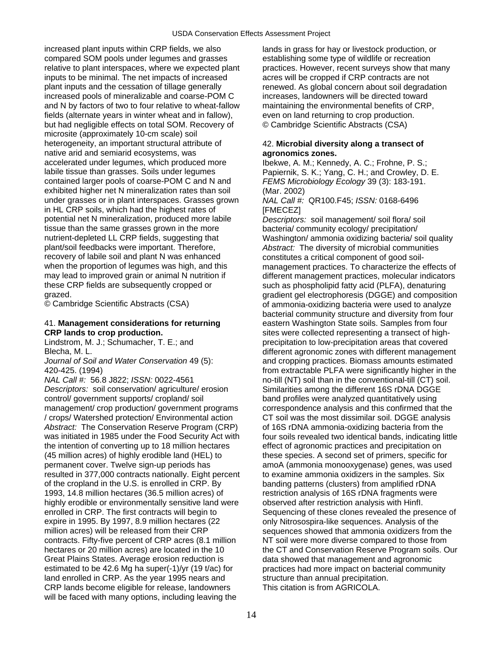increased plant inputs within CRP fields, we also lands in grass for hay or livestock production, or compared SOM pools under legumes and grasses establishing some type of wildlife or recreation relative to plant interspaces, where we expected plant practices. However, recent surveys show that many inputs to be minimal. The net impacts of increased acres will be cropped if CRP contracts are not plant inputs and the cessation of tillage generally renewed. As global concern about soil degradation increased pools of mineralizable and coarse-POM C increases, landowners will be directed toward and N by factors of two to four relative to wheat-fallow maintaining the environmental benefits of CRP, fields (alternate years in winter wheat and in fallow), even on land returning to crop production. but had negligible effects on total SOM. Recovery of © Cambridge Scientific Abstracts (CSA) microsite (approximately 10-cm scale) soil heterogeneity, an important structural attribute of 42. **Microbial diversity along a transect of**  native arid and semiarid ecosystems, was **agronomics zones.**  labile tissue than grasses. Soils under legumes Papiernik, S. K.; Yang, C. H.; and Crowley, D. E. contained larger pools of coarse-POM C and N and *FEMS Microbiology Ecology* 39 (3): 183-191. exhibited higher net N mineralization rates than soil (Mar. 2002)<br>under grasses or in plant interspaces. Grasses grown NAL Call #: QR100.F45; ISSN: 0168-6496 under grasses or in plant interspaces. Grasses grown in HL CRP soils, which had the highest rates of [FMECEZ] potential net N mineralization, produced more labile *Descriptors:* soil management/ soil flora/ soil tissue than the same grasses grown in the more bacteria/ community ecology/ precipitation/<br>
nutrient-depleted LL CRP fields, suggesting that Washington/ ammonia oxidizing bacteria/ so plant/soil feedbacks were important. Therefore, *Abstract:* The diversity of microbial communities recovery of labile soil and plant N was enhanced<br>when the proportion of legumes was high, and this management practices. To characterize the e when the proportion of legumes was high, and this management practices. To characterize the effects of may lead to improved grain or animal N nutrition if different management practices, molecular indicators these CRP fields are subsequently cropped or such as phospholipid fatty acid (PLFA), denaturing

*NAL Call #:* 56.8 J822; *ISSN:* 0022-4561 no-till (NT) soil than in the conventional-till (CT) soil. *Descriptors:* soil conservation/ agriculture/ erosion Similarities among the different 16S rDNA DGGE control/ government supports/ cropland/ soil band profiles were analyzed quantitatively using management/ crop production/ government programs correspondence analysis and this confirmed that the / crops/ Watershed protection/ Environmental action CT soil was the most dissimilar soil. DGGE analysis Abstract: The Conservation Reserve Program (CRP) of 16S rDNA ammonia-oxidizing bacteria from the was initiated in 1985 under the Food Security Act with four soils revealed two identical bands, indicating little the intention of converting up to 18 million hectares effect of agronomic practices and precipitation on (45 million acres) of highly erodible land (HEL) to these species. A second set of primers, specific for permanent cover. Twelve sign-up periods has amoA (ammonia monooxygenase) genes, was used resulted in 377,000 contracts nationally. Eight percent to examine ammonia oxidizers in the samples. Six of the cropland in the U.S. is enrolled in CRP. By banding patterns (clusters) from amplified rDNA 1993, 14.8 million hectares (36.5 million acres) of restriction analysis of 16S rDNA fragments were highly erodible or environmentally sensitive land were observed after restriction analysis with Hinfl. enrolled in CRP. The first contracts will begin to Sequencing of these clones revealed the presence of expire in 1995. By 1997, 8.9 million hectares (22 only Nitrosospira-like sequences. Analysis of the million acres) will be released from their CRP sequences showed that ammonia oxidizers from the contracts. Fifty-five percent of CRP acres (8.1 million NT soil were more diverse compared to those from hectares or 20 million acres) are located in the 10 the CT and Conservation Reserve Program soils. Our Great Plains States. Average erosion reduction is data showed that management and agronomic estimated to be 42.6 Mg ha super(-1)/yr (19 t/ac) for practices had more impact on bacterial community land enrolled in CRP. As the year 1995 nears and structure than annual precipitation. CRP lands become eligible for release, landowners This citation is from AGRICOLA. will be faced with many options, including leaving the

lbekwe, A. M.; Kennedy, A. C.; Frohne, P. S.;

Washington/ ammonia oxidizing bacteria/ soil quality different management practices, molecular indicators grazed.<br>
gradient gel electrophoresis (DGGE) and composition<br>  $\bullet$  Cambridge Scientific Abstracts (CSA) of ammonia-oxidizing bacteria were used to analyze of ammonia-oxidizing bacteria were used to analyze bacterial community structure and diversity from four 41. **Management considerations for returning** eastern Washington State soils. Samples from four **CRP lands to crop production. Sites were collected representing a transect of high-**Lindstrom, M. J.; Schumacher, T. E.; and precipitation to low-precipitation areas that covered Blecha, M. L. different agronomic zones with different management *Journal of Soil and Water Conservation* 49 (5): and cropping practices. Biomass amounts estimated 420-425. (1994) from extractable PLFA were significantly higher in the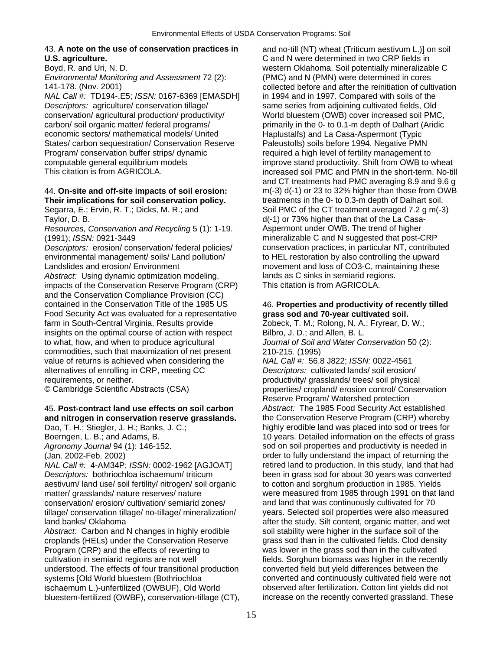### 43. **A note on the use of conservation practices in** and no-till (NT) wheat (Triticum aestivum L.)] on soil **U.S. agriculture.** C and N were determined in two CRP fields in

*Environmental Monitoring and Assessment* 72 (2): (PMC) and N (PMN) were determined in cores

*NAL Call #:* TD194-.E5; *ISSN:* 0167-6369 [EMASDH] in 1994 and in 1997. Compared with soils of the *Descriptors:* agriculture/ conservation tillage/ same series from adjoining cultivated fields, Old conservation/ agricultural production/ productivity/ World bluestem (OWB) cover increased soil PMC, carbon/ soil organic matter/ federal programs/ primarily in the 0- to 0.1-m depth of Dalhart (Aridic economic sectors/ mathematical models/ United Haplustalfs) and La Casa-Aspermont (Typic States/ carbon sequestration/ Conservation Reserve Paleustolls) soils before 1994. Negative PMN<br>Program/ conservation buffer strips/ dynamic required a high level of fertility management to computable general equilibrium models improve stand productivity. Shift from OWB to wheat<br>This citation is from AGRICOLA. increased soil PMC and PMN in the short-term. No-til

## **Their implications for soil conservation policy.** The treatments in the 0- to 0.3-m depth of Dalhart soil.

Taylor, D. B. d(-1) or 73% higher than that of the La Casa-

*Resources, Conservation and Recycling* 5 (1): 1-19. Aspermont under OWB. The trend of higher (1991); *ISSN:* 0921-3449 mineralizable C and N suggested that post-CRP

*Descriptors:* erosion/ conservation/ federal policies/ conservation practices, in particular NT, contributed environmental management/ soils/ Land pollution/ to HEL restoration by also controlling the upward Landslides and erosion/ Environment movement and loss of CO3-C, maintaining these Abstract: Using dynamic optimization modeling, lands as C sinks in semiarid regions. impacts of the Conservation Reserve Program (CRP) This citation is from AGRICOLA. and the Conservation Compliance Provision (CC) contained in the Conservation Title of the 1985 US 46. **Properties and productivity of recently tilled**  Food Security Act was evaluated for a representative **grass sod and 70-year cultivated soil.**  farm in South-Central Virginia. Results provide Zobeck, T. M.; Rolong, N. A.; Fryrear, D. W.; insights on the optimal course of action with respect Bilbro, J. D.; and Allen, B. L. to what, how, and when to produce agricultural *Journal of Soil and Water Conservation* 50 (2): commodities, such that maximization of net present 210-215. (1995)<br>value of returns is achieved when considering the NAL Call #: 56.8 J822; ISSN: 0022-4561 value of returns is achieved when considering the alternatives of enrolling in CRP, meeting CC *Descriptors:* cultivated lands/ soil erosion/ requirements, or neither. example the productivity/ grasslands/ trees/ soil physical

## 45. **Post-contract land use effects on soil carbon** *Abstract:* The 1985 Food Security Act established **and nitrogen in conservation reserve grasslands.** the Conservation Reserve Program (CRP) whereby

*Descriptors:* bothriochloa ischaemum/ triticum been in grass sod for about 30 years was converted aestivum/ land use/ soil fertility/ nitrogen/ soil organic to cotton and sorghum production in 1985. Yields matter/ grasslands/ nature reserves/ nature were measured from 1985 through 1991 on that land conservation/ erosion/ cultivation/ semiarid zones/ and land that was continuously cultivated for 70 tillage/ conservation tillage/ no-tillage/ mineralization/ years. Selected soil properties were also measured land banks/ Oklahoma after the study. Silt content, organic matter, and wet

Abstract: Carbon and N changes in highly erodible soil stability were higher in the surface soil of the croplands (HELs) under the Conservation Reserve grass sod than in the cultivated fields. Clod density Program (CRP) and the effects of reverting to was lower in the grass sod than in the cultivated cultivation in semiarid regions are not well fields. Sorghum biomass was higher in the recently<br>understood. The effects of four transitional production converted field but yield differences between the understood. The effects of four transitional production systems [Old World bluestem (Bothriochloa converted and continuously cultivated field were not ischaemum L.)-unfertilized (OWBUF), Old World observed after fertilization. Cotton lint yields did not bluestem-fertilized (OWBF), conservation-tillage (CT), increase on the recently converted grassland. These

Boyd, R. and Uri, N. D. western Oklahoma. Soil potentially mineralizable C 141-178. (Nov. 2001) collected before and after the reinitiation of cultivation required a high level of fertility management to increased soil PMC and PMN in the short-term. No-till and CT treatments had PMC averaging 8.9 and 9.6 g 44. **On-site and off-site impacts of soil erosion:** m(-3) d(-1) or 23 to 32% higher than those from OWB Segarra, E.; Ervin, R. T.; Dicks, M. R.; and Soil PMC of the CT treatment averaged 7.2 g m(-3)

© Cambridge Scientific Abstracts (CSA) properties/ cropland/ erosion control/ Conservation Reserve Program/ Watershed protection Dao, T. H.; Stiegler, J. H.; Banks, J. C.; https://www.bighly erodible land was placed into sod or trees for Boerngen, L. B.; and Adams, B. 10 years. Detailed information on the effects of grass *Agronomy Journal* 94 (1): 146-152. sod on soil properties and productivity is needed in (Jan. 2002-Feb. 2002) order to fully understand the impact of returning the *NAL Call #:* 4-AM34P; *ISSN:* 0002-1962 [AGJOAT] retired land to production. In this study, land that had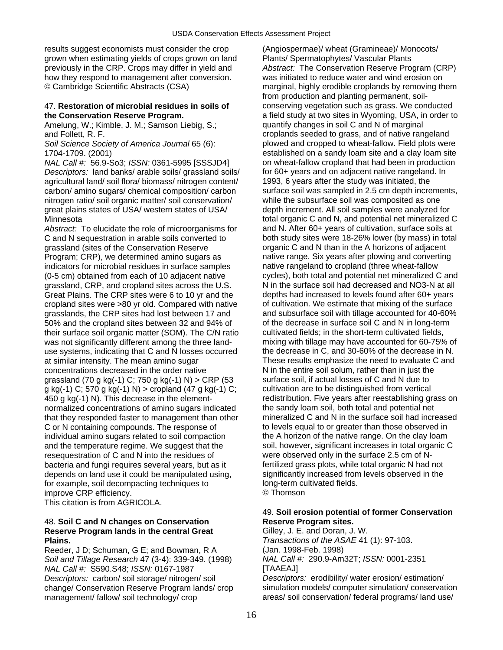results suggest economists must consider the crop (Angiospermae)/ wheat (Gramineae)/ Monocots/ grown when estimating yields of crops grown on land Plants/ Spermatophytes/ Vascular Plants how they respond to management after conversion. was initiated to reduce water and wind erosion on

Amelung, W.; Kimble, J. M.; Samson Liebig, S.; quantify changes in soil C and N of marginal

*NAL Call #: 56.9-So3; <i>ISSN: 0361-5995* [SSSJD4] *Descriptors:* land banks/ arable soils/ grassland soils/ for 60+ years and on adjacent native rangeland. In agricultural land/ soil flora/ biomass/ nitrogen content/ 1993, 6 years after the study was initiated, the carbon/ amino sugars/ chemical composition/ carbon surface soil was sampled in 2.5 cm depth increments, nitrogen ratio/ soil organic matter/ soil conservation/ while the subsurface soil was composited as one great plains states of USA/ western states of USA/ depth increment. All soil samples were analyzed for Minnesota total organic C and N, and potential net mineralized C

Abstract: To elucidate the role of microorganisms for and N. After 60+ years of cultivation, surface soils at grassland (sites of the Conservation Reserve organic C and N than in the A horizons of adjacent Program; CRP), we determined amino sugars as native range. Six years after plowing and converting (0-5 cm) obtained from each of 10 adjacent native grassland, CRP, and cropland sites across the U.S. N in the surface soil had decreased and NO3-N at all Great Plains. The CRP sites were 6 to 10 yr and the depths had increased to levels found after 60+ years cropland sites were >80 yr old. Compared with native of cultivation. We estimate that mixing of the surface 50% and the cropland sites between 32 and 94% of of the decrease in surface soil C and N in long-term their surface soil organic matter (SOM). The C/N ratio cultivated fields; in the short-term cultivated fields, use systems, indicating that C and N losses occurred the decrease in C, and 30-60% of the decrease in N. at similar intensity. The mean amino sugar These results emphasize the need to evaluate C and concentrations decreased in the order native N in the entire soil solum, rather than in just the grassland (70 g kg(-1) C; 750 g kg(-1) N) > CRP (53 surface soil, if actual losses of C and N due to g kg(-1) C; cropland (47 g kg(-1) C; cultivation are to be distinguished from vertical g kg(-1) C; 570 g kg(-1) N) > cropland (47 g kg(-1) C; that they responded faster to management than other C or N containing compounds. The response of the response to levels equal to or greater than those observed in individual amino sugars related to soil compaction the A horizon of the native range. On the clay loam and the temperature regime. We suggest that the soil, however, significant increases in total organic C resequestration of C and N into the residues of were observed only in the surface 2.5 cm of Nbacteria and fungi requires several years, but as it fertilized grass plots, while total organic N had not depends on land use it could be manipulated using, significantly increased from levels observed in the depends on land use it could be manipulated using, for example, soil decompacting techniques to long-term cultivated fields. improve CRP efficiency. © Thomson

This citation is from AGRICOLA.

### 48. **Soil C and N changes on Conservation Reserve Program sites. Reserve Program lands in the central Great Great Gilley, J. E. and Doran, J. W. Plains.** *Transactions of the ASAE* 41 (1): 97-103.

Reeder, J D; Schuman, G E; and Bowman, R A (Jan. 1998-Feb. 1998) *Soil and Tillage Research* 47 (3-4): 339-349. (1998) *NAL Call #:* 290.9-Am32T; *ISSN:* 0001-2351 *NAL Call #: \$590.S48; <i>ISSN:* 0167-1987 *Descriptors:* carbon/ soil storage/ nitrogen/ soil *Descriptors:* erodibility/ water erosion/ estimation/

previously in the CRP. Crops may differ in yield and *Abstract:* The Conservation Reserve Program (CRP) © Cambridge Scientific Abstracts (CSA) marginal, highly erodible croplands by removing them from production and planting permanent, soil-47. **Restoration of microbial residues in soils of** conserving vegetation such as grass. We conducted **the Conservation Reserve Program.** a field study at two sites in Wyoming, USA, in order to and Follett, R. F. croplands seeded to grass, and of native rangeland *Soil Science Society of America Journal* 65 (6): plowed and cropped to wheat-fallow. Field plots were 1704-1709. (2001)<br>
MAL Call #: 56.9-So3: ISSN: 0361-5995 ISSSJD41 on wheat-fallow cropland that had been in production C and N sequestration in arable soils converted to both study sites were 18-26% lower (by mass) in total indicators for microbial residues in surface samples and interventianal to cropland (three wheat-fallow<br>(0-5 cm) obtained from each of 10 adiacent native cycles), both total and potential net mineralized C and grasslands, the CRP sites had lost between 17 and and subsurface soil with tillage accounted for 40-60% was not significantly different among the three land- mixing with tillage may have accounted for 60-75% of 450 g kg(-1) N). This decrease in the element- redistribution. Five years after reestablishing grass on normalized concentrations of amino sugars indicated the sandy loam soil, both total and potential net<br>that they responded faster to management than other mineralized C and N in the surface soil had increased

## 49. **Soil erosion potential of former Conservation**

change/ Conservation Reserve Program lands/ crop simulation models/ computer simulation/ conservation management/ fallow/ soil technology/ crop areas/ soil conservation/ federal programs/ land use/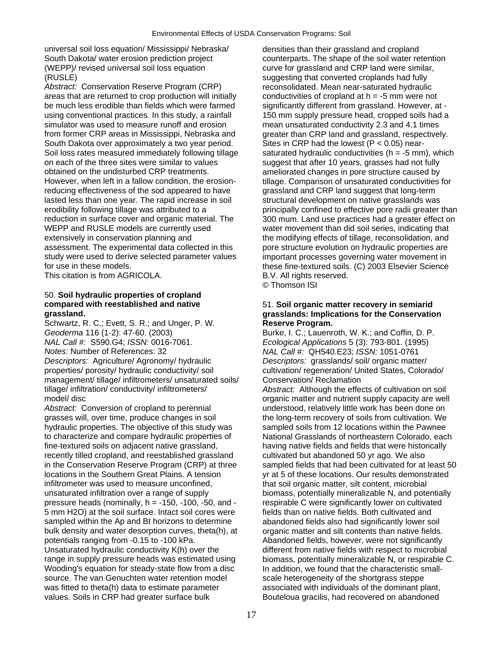universal soil loss equation/ Mississippi/ Nebraska/ densities than their grassland and cropland South Dakota/ water erosion prediction project counterparts. The shape of the soil water retention (WEPP)/ revised universal soil loss equation curve for grassland and CRP land were similar, (RUSLE) suggesting that converted croplands had fully

Abstract: Conservation Reserve Program (CRP) reconsolidated. Mean near-saturated hydraulic areas that are returned to crop production will initially conductivities of cropland at h = -5 mm were not be much less erodible than fields which were farmed significantly different from grassland. However, at using conventional practices. In this study, a rainfall 150 mm supply pressure head, cropped soils had a simulator was used to measure runoff and erosion mean unsaturated conductivity 2.3 and 4.1 times from former CRP areas in Mississippi, Nebraska and greater than CRP land and grassland, respectively.<br>South Dakota over approximately a two year period. Sites in CRP had the lowest (P < 0.05) near-South Dakota over approximately a two year period. Soil loss rates measured immediately following tillage saturated hydraulic conductivities (h = -5 mm), which on each of the three sites were similar to values suggest that after 10 years, grasses had not fully obtained on the undisturbed CRP treatments. ameliorated changes in pore structure caused by However, when left in a fallow condition, the erosion- tillage. Comparison of unsaturated conductivities for reducing effectiveness of the sod appeared to have grassland and CRP land suggest that long-term lasted less than one year. The rapid increase in soil structural development on native grasslands was reduction in surface cover and organic material. The 300 mum. Land use practices had a greater effect on WEPP and RUSLE models are currently used water movement than did soil series, indicating that extensively in conservation planning and the modifying effects of tillage, reconsolidation, and assessment. The experimental data collected in this pore structure evolution on hydraulic properties are study were used to derive selected parameter values important processes governing water movement in for use in these models. these fine-textured soils. (C) 2003 Elsevier Science

This citation is from AGRICOLA. B.V. All rights reserved.

# 50. **Soil hydraulic properties of cropland**

Schwartz, R. C.; Evett, S. R.; and Unger, P. W. **Reserve Program.**  *Geoderma* 116 (1-2): 47-60. (2003) **Burke, I. C.; Lauenroth, W. K.; and Coffin, D. P.** *NAL Call #:* S590.G4; *ISSN:* 0016-7061. *Ecological Applications* 5 (3): 793-801. (1995) *Notes:* Number of References: 32 *NAL Call #:* QH540.E23; *ISSN:* 1051-0761 properties/ porosity/ hydraulic conductivity/ soil cultivation/ regeneration/ United States, Colorado/ management/ tillage/ infiltrometers/ unsaturated soils/ Conservation/ Reclamation tillage/ infiltration/ conductivity/ infiltrometers/ *Abstract:* Although the effects of cultivation on soil model/ disc organic matter and nutrient supply capacity are well

*Abstract:* Conversion of cropland to perennial understood, relatively little work has been done on grasses will, over time, produce changes in soil the long-term recovery of soils from cultivation. We hydraulic properties. The objective of this study was sampled soils from 12 locations within the Pawnee to characterize and compare hydraulic properties of National Grasslands of northeastern Colorado, each fine-textured soils on adjacent native grassland, having native fields and fields that were historically recently tilled cropland, and reestablished grassland cultivated but abandoned 50 yr ago. We also<br>in the Conservation Reserve Program (CRP) at three sampled fields that had been cultivated for at locations in the Southern Great Plains. A tension vr at 5 of these locations. Our results demonstrated infiltrometer was used to measure unconfined, that soil organic matter, silt content, microbial unsaturated infiltration over a range of supply biomass, potentially mineralizable N, and potentially pressure heads (nominally, h = -150, -100, -50, and - respirable C were significantly lower on cultivated 5 mm H2O) at the soil surface. Intact soil cores were fields than on native fields. Both cultivated and sampled within the Ap and Bt horizons to determine abandoned fields also had significantly lower soil bulk density and water desorption curves, theta(h), at organic matter and silt contents than native fields. potentials ranging from -0.15 to -100 kPa. Abandoned fields, however, were not significantly Unsaturated hydraulic conductivity K(h) over the different from native fields with respect to microbial range in supply pressure heads was estimated using biomass, potentially mineralizable N, or respirable C. Wooding's equation for steady-state flow from a disc In addition, we found that the characteristic smallsource. The van Genuchten water retention model scale heterogeneity of the shortgrass steppe was fitted to theta(h) data to estimate parameter associated with individuals of the dominant plant, values. Soils in CRP had greater surface bulk Bouteloua gracilis, had recovered on abandoned

erodibility following tillage was attributed to a principally confined to effective pore radii greater than important processes governing water movement in © Thomson ISI

## **compared with reestablished and native** 51. **Soil organic matter recovery in semiarid grassland. grasslands: Implications for the Conservation**

*Descriptors:* grasslands/ soil/ organic matter/

sampled fields that had been cultivated for at least 50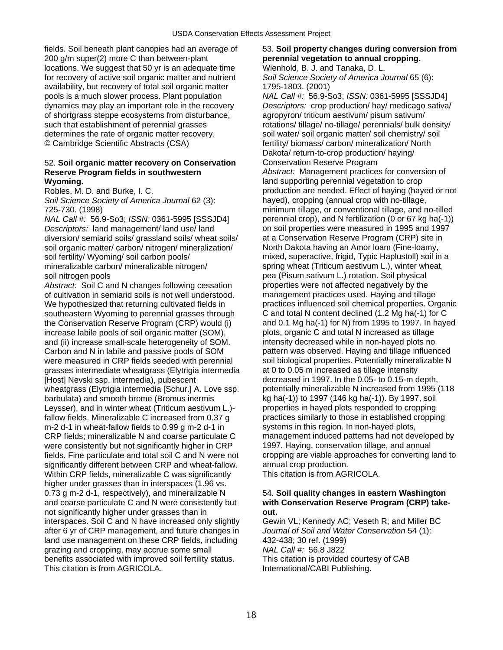fields. Soil beneath plant canopies had an average of 53. **Soil property changes during conversion from**  200 g/m super(2) more C than between-plant **perennial vegetation to annual cropping.**  locations. We suggest that 50 yr is an adequate time Wienhold, B. J. and Tanaka, D. L. for recovery of active soil organic matter and nutrient *Soil Science Society of America Journal* 65 (6): availability, but recovery of total soil organic matter 1795-1803. (2001) pools is a much slower process. Plant population *NAL Call #:* 56.9-So3; *ISSN:* 0361-5995 [SSSJD4] dynamics may play an important role in the recovery *Descriptors:* crop production/ hay/ medicago sativa/ of shortgrass steppe ecosystems from disturbance, agropyron/ triticum aestivum/ pisum sativum/ such that establishment of perennial grasses rotations/ tillage/ no-tillage/ perennials/ bulk density/ determines the rate of organic matter recovery. soil water/ soil organic matter/ soil chemistry/ soil © Cambridge Scientific Abstracts (CSA) fertility/ biomass/ carbon/ mineralization/ North

### 52. **Soil organic matter recovery on Conservation** Conservation Reserve Program **Reserve Program fields in southwestern** *Abstract:* Management practices for conversion of **Wyoming. Wyoming. land supporting perennial vegetation to crop**

*Soil Science Society of America Journal* 62 (3): hayed), cropping (annual crop with no-tillage,

*NAL Call #:* 56.9-So3; *ISSN:* 0361-5995 [SSSJD4] perennial crop), and N fertilization (0 or 67 kg ha(-1)) *Descriptors:* land management/ land use/ land on soil properties were measured in 1995 and 1997 diversion/ semiarid soils/ grassland soils/ wheat soils/ at a Conservation Reserve Program (CRP) site in soil organic matter/ carbon/ nitrogen/ mineralization/ North Dakota having an Amor loam (Fine-loamy, soil fertility/ Wyoming/ soil carbon pools/ mixed, superactive, frigid, Typic Haplustoll) soil in a mineralizable carbon/ mineralizable nitrogen/ spring wheat (Triticum aestivum L.), winter wheat,

*Abstract: Soil C and N changes following cessation* of cultivation in semiarid soils is not well understood. management practices used. Haying and tillage We hypothesized that returning cultivated fields in practices influenced soil chemical properties. Organic southeastern Wyoming to perennial grasses through C and total N content declined (1.2 Mg ha(-1) for C the Conservation Reserve Program (CRP) would (i) and 0.1 Mg ha(-1) for N) from 1995 to 1997. In hayed<br>
increase labile pools of soil organic matter (SOM). plots, organic C and total N increased as tillage increase labile pools of soil organic matter (SOM), and (ii) increase small-scale heterogeneity of SOM. intensity decreased while in non-hayed plots no Carbon and N in labile and passive pools of SOM pattern was observed. Haying and tillage influenced<br>were measured in CRP fields seeded with perennial soil biological properties. Potentially mineralizable N grasses intermediate wheatgrass (Elytrigia intermedia at 0 to 0.05 m increased as tillage intensity [Host] Nevski ssp. intermedia), pubescent decreased in 1997. In the 0.05- to 0.15-m depth,<br>wheatgrass (Elytrigia intermedia [Schur.] A. Love ssp. potentially mineralizable N increased from 1995 (118 wheatgrass (Elytrigia intermedia [Schur.] A. Love ssp. barbulata) and smooth brome (Bromus inermis kg ha(-1)) to 1997 (146 kg ha(-1)). By 1997, soil Leysser), and in winter wheat (Triticum aestivum L.)- properties in hayed plots responded to cropping<br>
fallow fields. Mineralizable C increased from 0.37 q stractices similarly to those in established cropping fallow fields. Mineralizable C increased from 0.37 g  $m-2$  d-1 in wheat-fallow fields to 0.99 g m-2 d-1 in systems in this region. In non-hayed plots, CRP fields; mineralizable N and coarse particulate C management induced patterns had not developed by were consistently but not significantly higher in CRP fields. Fine particulate and total soil C and N were not cropping are viable approaches for converting land to significantly different between CRP and wheat-fallow. annual crop production.<br>Within CRP fields, mineralizable C was significantly This citation is from AGRICOLA. Within CRP fields, mineralizable C was significantly higher under grasses than in interspaces (1.96 vs. 0.73 g m-2 d-1, respectively), and mineralizable N 54. **Soil quality changes in eastern Washington**  and coarse particulate C and N were consistently but **with Conservation Reserve Program (CRP) take**not significantly higher under grasses than in **out.**  interspaces. Soil C and N have increased only slightly Gewin VL; Kennedy AC; Veseth R; and Miller BC after 6 yr of CRP management, and future changes in *Journal of Soil and Water Conservation* 54 (1): land use management on these CRP fields, including 432-438; 30 ref. (1999) grazing and cropping, may accrue some small *NAL Call #:* 56.8 J822 benefits associated with improved soil fertility status. This citation is provided courtesy of CAB<br>This citation is from AGRICOLA. This citational/CABI Publishing.

Dakota/ return-to-crop production/ haying/

Robles, M. D. and Burke, I. C. **production are needed. Effect of haying (hayed or not** 725-730. (1998) minimum tillage, or conventional tillage, and no-tilled soil nitrogen pools<br>
Abstract: Soil C and N changes following cessation properties were not affected negatively by the soil biological properties. Potentially mineralizable N

International/CABI Publishing.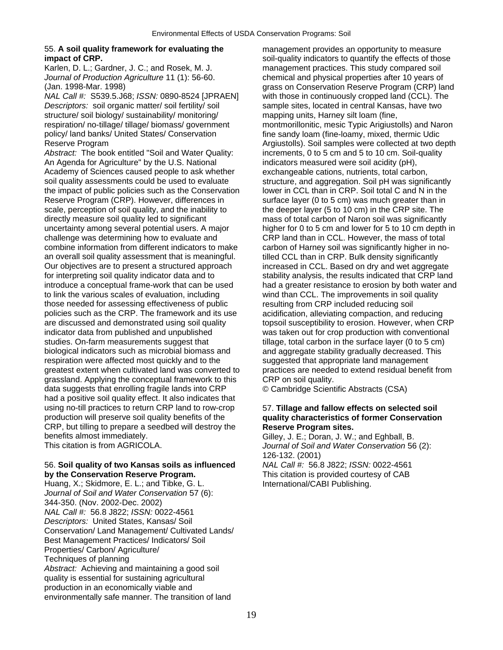## 55. **A soil quality framework for evaluating the** management provides an opportunity to measure

*NAL Call #:* S539.5.J68; *ISSN:* 0890-8524 [JPRAEN] with those in continuously cropped land (CCL). The *Descriptors:* soil organic matter/ soil fertility/ soil sample sites, located in central Kansas, have two structure/ soil biology/ sustainability/ monitoring/ mapping units, Harney silt loam (fine, respiration/ no-tillage/ tillage/ biomass/ government montmorillonitic, mesic Typic Arigiustolls) and Naron policy/ land banks/ United States/ Conservation fine sandy loam (fine-loamy, mixed, thermic Udic

*Abstract:* The book entitled "Soil and Water Quality: increments, 0 to 5 cm and 5 to 10 cm. Soil-quality An Agenda for Agriculture" by the U.S. National indicators measured were soil acidity (pH), Academy of Sciences caused people to ask whether exchangeable cations, nutrients, total carbon, soil quality assessments could be used to evaluate structure, and aggregation. Soil pH was significantly the impact of public policies such as the Conservation lower in CCL than in CRP. Soil total C and N in the Reserve Program (CRP). However, differences in surface layer (0 to 5 cm) was much greater than in scale, perception of soil quality, and the inability to the deeper layer (5 to 10 cm) in the CRP site. The directly measure soil quality led to significant mass of total carbon of Naron soil was significantly uncertainty among several potential users. A major higher for 0 to 5 cm and lower for 5 to 10 cm depth in challenge was determining how to evaluate and CRP land than in CCL. However, the mass of total combine information from different indicators to make carbon of Harney soil was significantly higher in no-<br>an overall soil quality assessment that is meaningful. <br>tilled CCL than in CRP. Bulk density significantly Our objectives are to present a structured approach increased in CCL. Based on dry and wet aggregate for interpreting soil quality indicator data and to stability analysis, the results indicated that CRP land<br>introduce a conceptual frame-work that can be used had a greater resistance to erosion by both water and to link the various scales of evaluation, including wind than CCL. The improvements in soil quality those needed for assessing effectiveness of public resulting from CRP included reducing soil policies such as the CRP. The framework and its use acidification, alleviating compaction, and reducing are discussed and demonstrated using soil quality to erosiol susceptibility to erosion. However, when CRP indicator data from published and unpublished was taken out for crop production with conventional studies. On-farm measurements suggest that tillage, total carbon in the surface layer (0 to 5 cm) biological indicators such as microbial biomass and and aggregate stability gradually decreased. This respiration were affected most quickly and to the suggested that appropriate land management greatest extent when cultivated land was converted to practices are needed to extend residual benefit from grassland. Applying the conceptual framework to this CRP on soil quality. data suggests that enrolling fragile lands into CRP © Cambridge Scientific Abstracts (CSA) had a positive soil quality effect. It also indicates that using no-till practices to return CRP land to row-crop 57. **Tillage and fallow effects on selected soil**  CRP, but tilling to prepare a seedbed will destroy the **Reserve Program sites.**  benefits almost immediately.<br>This citation is from AGRICOLA. Gilley, J. E.; Doran, J. W.; and Eghball, B.<br>Journal of Soil and Water Conservation 56.

56. Soil quality of two Kansas soils as influenced **by the Conservation Reserve Program.** This citation is provided courtesy of CAB

Huang, X.; Skidmore, E. L.; and Tibke, G. L. **International** CABI Publishing. *Journal of Soil and Water Conservation* 57 (6): 344-350. (Nov. 2002-Dec. 2002) *NAL Call #:* 56.8 J822; *ISSN:* 0022-4561 *Descriptors:* United States, Kansas/ Soil Conservation/ Land Management/ Cultivated Lands/ Best Management Practices/ Indicators/ Soil Properties/ Carbon/ Agriculture/ Techniques of planning *Abstract:* Achieving and maintaining a good soil quality is essential for sustaining agricultural production in an economically viable and environmentally safe manner. The transition of land

**impact of CRP. impact of CRP. impact of CRP. soil-quality indicators to quantify the effects of those** Karlen, D. L.; Gardner, J. C.; and Rosek, M. J. management practices. This study compared soil *Journal of Production Agriculture* 11 (1): 56-60. chemical and physical properties after 10 years of (Jan. 1998-Mar. 1998) grass on Conservation Reserve Program (CRP) land Reserve Program Argiustolls). Soil samples were collected at two depth tilled CCL than in CRP. Bulk density significantly had a greater resistance to erosion by both water and

# quality characteristics of former Conservation

Journal of Soil and Water Conservation 56 (2):

126-132. (2001)<br>NAL Call #: 56.8 J822; ISSN: 0022-4561